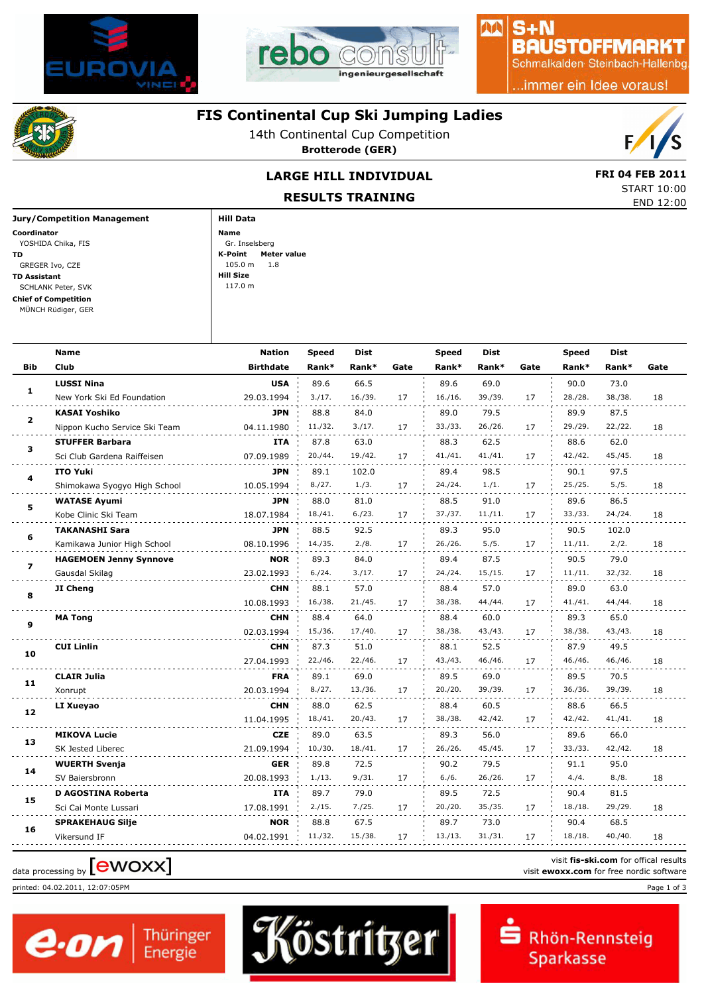



## S+N **BAUSTOFFMARKT**

AA

Schmalkalden Steinbach-Hallenbg

.immer ein Idee voraus!



## **FIS Continental Cup Ski Jumping Ladies**

14th Continental Cup Competition **Brotterode (GER)**



START 10:00

## LARGE HILL INDIVIDUAL **EXAMPLE 18 FRI 04 FEB 2011**

**RESULTS TRAINING**

|                             | <b>ILLJULIJ IKALIMINU</b> | END 12:00 |
|-----------------------------|---------------------------|-----------|
| Jury/Competition Management | <b>Hill Data</b>          |           |
| Coordinator                 | Name                      |           |
| YOSHIDA Chika, FIS          | Gr. Inselsberg            |           |
| TD                          | Meter value<br>K-Point    |           |
| GREGER Ivo, CZE             | 105.0 m<br>1.8            |           |
| TD Assistant                | Hill Size                 |           |
| SCHLANK Peter, SVK          | 117.0 m                   |           |
| Chief of Competition        |                           |           |
| MÜNCH Rüdiger, GER          |                           |           |
|                             |                           |           |

|                | <b>Name</b>                   | <b>Nation</b>    | <b>Speed</b> | Dist    |      | <b>Speed</b> | <b>Dist</b> |      | <b>Speed</b> | Dist    |      |
|----------------|-------------------------------|------------------|--------------|---------|------|--------------|-------------|------|--------------|---------|------|
| Bib            | <b>Club</b>                   | <b>Birthdate</b> | Rank*        | Rank*   | Gate | Rank*        | Rank*       | Gate | Rank*        | Rank*   | Gate |
|                | <b>LUSSI Nina</b>             | <b>USA</b>       | 89.6         | 66.5    |      | 89.6         | 69.0        |      | 90.0         | 73.0    |      |
| $\mathbf{1}$   | New York Ski Ed Foundation    | 29.03.1994       | 3./17.       | 16./39. | 17   | 16./16.      | 39./39.     | 17   | 28./28.      | 38./38. | 18   |
| $\overline{2}$ | <b>KASAI Yoshiko</b>          | <b>JPN</b>       | 88.8         | 84.0    |      | 89.0         | 79.5        |      | 89.9         | 87.5    |      |
|                | Nippon Kucho Service Ski Team | 04.11.1980       | 11./32.      | 3./17.  | 17   | 33./33.      | 26./26.     | 17   | 29./29.      | 22./22. | 18   |
| 3              | <b>STUFFER Barbara</b>        | <b>ITA</b>       | 87.8         | 63.0    |      | 88.3         | 62.5        |      | 88.6         | 62.0    |      |
|                | Sci Club Gardena Raiffeisen   | 07.09.1989       | 20./44.      | 19./42. | 17   | 41./41.      | 41./41.     | 17   | 42./42.      | 45./45. | 18   |
| 4              | <b>ITO Yuki</b>               | <b>JPN</b>       | 89.1         | 102.0   |      | 89.4         | 98.5        |      | 90.1         | 97.5    |      |
|                | Shimokawa Syogyo High School  | 10.05.1994       | 8./27.       | 1./3.   | 17   | 24./24.      | 1./1.       | 17   | 25./25.      | 5./5.   | 18   |
| 5              | <b>WATASE Ayumi</b>           | <b>JPN</b>       | 88.0         | 81.0    |      | 88.5         | 91.0        |      | 89.6         | 86.5    |      |
|                | Kobe Clinic Ski Team          | 18.07.1984       | 18./41.      | 6./23.  | 17   | 37./37.      | 11./11.     | 17   | 33./33.      | 24./24. | 18   |
| 6              | <b>TAKANASHI Sara</b>         | <b>JPN</b>       | 88.5         | 92.5    |      | 89.3         | 95.0        |      | 90.5         | 102.0   |      |
|                | Kamikawa Junior High School   | 08.10.1996       | 14./35.      | 2./8.   | 17   | 26./26.      | 5./5.       | 17   | 11./11.      | 2./2.   | 18   |
| $\overline{7}$ | <b>HAGEMOEN Jenny Synnove</b> | <b>NOR</b>       | 89.3         | 84.0    |      | 89.4         | 87.5        |      | 90.5         | 79.0    |      |
|                | Gausdal Skilag                | 23.02.1993       | 6./24.       | 3./17.  | 17   | 24./24.      | 15./15.     | 17   | 11./11.      | 32./32. | 18   |
| 8              | JI Cheng                      | <b>CHN</b>       | 88.1         | 57.0    |      | 88.4         | 57.0        |      | 89.0         | 63.0    |      |
|                |                               | 10.08.1993       | 16./38.      | 21./45. | 17   | 38./38.      | 44./44.     | 17   | 41./41.      | 44./44. | 18   |
| 9              | <b>MA Tong</b>                | <b>CHN</b>       | 88.4         | 64.0    |      | 88.4         | 60.0        |      | 89.3         | 65.0    |      |
|                |                               | 02.03.1994       | 15./36.      | 17./40. | 17   | 38./38.      | 43./43.     | 17   | 38./38.      | 43./43. | 18   |
| 10             | <b>CUI Linlin</b>             | <b>CHN</b>       | 87.3         | 51.0    |      | 88.1         | 52.5        |      | 87.9         | 49.5    |      |
|                |                               | 27.04.1993       | 22./46.      | 22./46. | 17   | 43./43.      | 46./46.     | 17   | 46./46.      | 46./46. | 18   |
| 11             | <b>CLAIR Julia</b>            | <b>FRA</b>       | 89.1         | 69.0    |      | 89.5         | 69.0        |      | 89.5         | 70.5    |      |
|                | Xonrupt                       | 20.03.1994       | 8./27.       | 13./36. | 17   | 20./20.      | 39./39.     | 17   | 36./36.      | 39./39. | 18   |
| 12             | LI Xueyao                     | <b>CHN</b>       | 88.0         | 62.5    |      | 88.4         | 60.5        |      | 88.6         | 66.5    |      |
|                |                               | 11.04.1995       | 18./41.      | 20./43. | 17   | 38./38.      | 42./42.     | 17   | 42./42.      | 41./41. | 18   |
| 13             | <b>MIKOVA Lucie</b>           | <b>CZE</b>       | 89.0         | 63.5    |      | 89.3         | 56.0        |      | 89.6         | 66.0    |      |
|                | SK Jested Liberec             | 21.09.1994       | 10./30.      | 18./41. | 17   | 26./26.      | 45./45.     | 17   | 33./33.      | 42./42. | 18   |
| 14             | <b>WUERTH Svenja</b>          | <b>GER</b>       | 89.8         | 72.5    |      | 90.2         | 79.5        |      | 91.1         | 95.0    |      |
|                | SV Baiersbronn                | 20.08.1993       | 1./13.       | 9./31.  | 17   | 6./6.        | 26./26.     | 17   | 4./4.        | 8./8.   | 18   |
| 15             | D AGOSTINA Roberta            | <b>ITA</b>       | 89.7         | 79.0    |      | 89.5         | 72.5        |      | 90.4         | 81.5    |      |
|                | Sci Cai Monte Lussari         | 17.08.1991       | 2./15.       | 7./25.  | 17   | 20./20.      | 35./35.     | 17   | 18./18.      | 29./29. | 18   |
| 16             | <b>SPRAKEHAUG Silje</b>       | <b>NOR</b>       | 88.8         | 67.5    |      | 89.7         | 73.0        |      | 90.4         | 68.5    |      |
|                | Vikersund IF                  | 04.02.1991       | 11./32.      | 15./38. | 17   | 13./13.      | 31./31.     | 17   | 18./18.      | 40./40. | 18   |

Köstritzer

# visit fis-ski.com for offical results<br>
visit **ewoxx.com** for free nordic software<br>
visit **ewoxx.com** for free nordic software

printed: 04.02.2011, 12:07:05PM Page 1 of 3



visit **fis-ski.com** for offical results

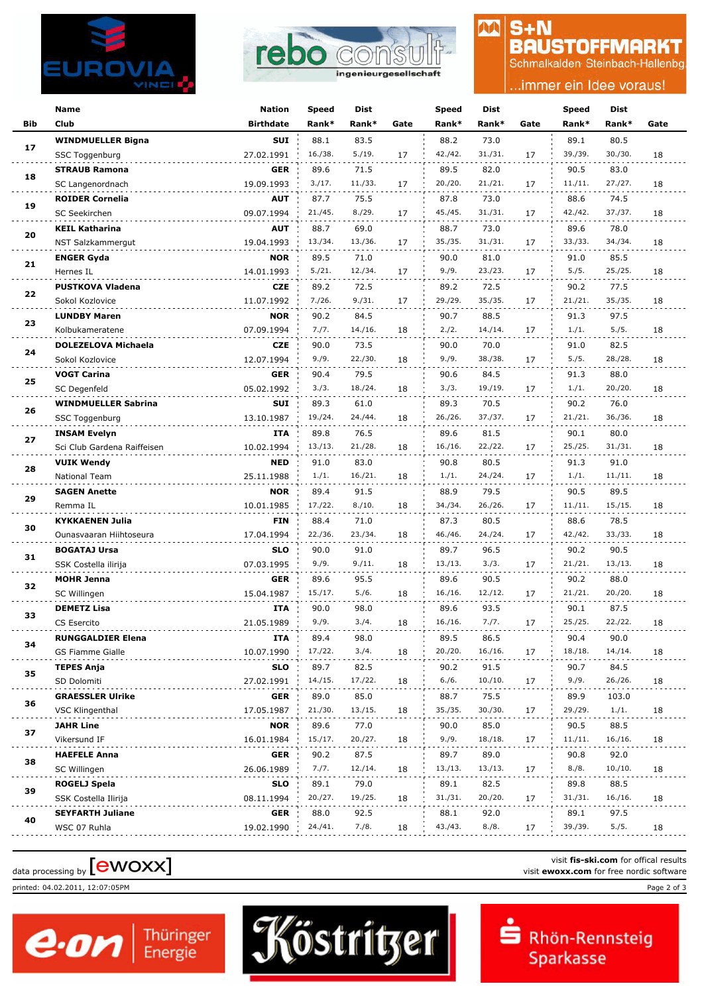



#### $S + N$ M **BAUSTOFFMARKT**

Schmalkalden Steinbach-Hallenbg

### .immer ein Idee voraus!

|            | Name                        | <b>Nation</b>    | Speed   | Dist    |      | Speed   | <b>Dist</b> |      | Speed   | <b>Dist</b> |      |
|------------|-----------------------------|------------------|---------|---------|------|---------|-------------|------|---------|-------------|------|
| <b>Bib</b> | Club                        | <b>Birthdate</b> | Rank*   | Rank*   | Gate | Rank*   | Rank*       | Gate | Rank*   | Rank*       | Gate |
|            | <b>WINDMUELLER Bigna</b>    | <b>SUI</b>       | 88.1    | 83.5    |      | 88.2    | 73.0        |      | 89.1    | 80.5        |      |
| 17         | SSC Toggenburg              | 27.02.1991       | 16./38. | 5./19.  | 17   | 42./42. | 31./31.     | 17   | 39./39. | 30./30.     | 18   |
|            | <b>STRAUB Ramona</b>        | <b>GER</b>       | 89.6    | 71.5    |      | 89.5    | 82.0        |      | 90.5    | 83.0        |      |
| 18         | SC Langenordnach            | 19.09.1993       | 3./17.  | 11./33. | 17   | 20./20. | 21./21.     | 17   | 11./11. | 27./27.     | 18   |
|            | <b>ROIDER Cornelia</b>      | <b>AUT</b>       | 87.7    | 75.5    |      | 87.8    | 73.0        |      | 88.6    | 74.5        |      |
| 19         | SC Seekirchen               | 09.07.1994       | 21./45. | 8./29.  | 17   | 45./45. | 31./31.     | 17   | 42./42. | 37./37.     | 18   |
|            | <b>KEIL Katharina</b>       | <b>AUT</b>       | 88.7    | 69.0    |      | 88.7    | 73.0        |      | 89.6    | 78.0        |      |
| 20         | NST Salzkammergut           | 19.04.1993       | 13./34. | 13./36. | 17   | 35./35. | 31./31.     | 17   | 33./33. | 34./34.     | 18   |
|            | <b>ENGER Gyda</b>           | <b>NOR</b>       | 89.5    | 71.0    |      | 90.0    | 81.0        |      | 91.0    | 85.5        |      |
| 21         | Hernes IL                   | 14.01.1993       | 5./21.  | 12./34. | 17   | 9./9.   | 23./23.     | 17   | 5./5.   | 25./25.     | 18   |
|            | <b>PUSTKOVA Vladena</b>     | <b>CZE</b>       | 89.2    | 72.5    |      | 89.2    | 72.5        |      | 90.2    | 77.5        |      |
| 22         | Sokol Kozlovice             | 11.07.1992       | 7./26.  | 9./31.  | 17   | 29./29. | 35./35.     | 17   | 21./21. | 35./35.     | 18   |
|            | <b>LUNDBY Maren</b>         | <b>NOR</b>       | 90.2    | 84.5    |      | 90.7    | 88.5        |      | 91.3    | 97.5        |      |
| 23         | Kolbukameratene             | 07.09.1994       | 7./7.   | 14./16. | 18   | 2./2.   | 14./14.     | 17   | 1./1.   | 5./5.       | 18   |
|            | DOLEZELOVA Michaela         | <b>CZE</b>       | 90.0    | 73.5    |      | 90.0    | 70.0        |      | 91.0    | 82.5        |      |
| 24         | Sokol Kozlovice             | 12.07.1994       | 9./9.   | 22./30. | 18   | 9./9.   | 38./38.     | 17   | 5./5.   | 28./28.     | 18   |
|            | <b>VOGT Carina</b>          | <b>GER</b>       | 90.4    | 79.5    |      | 90.6    | 84.5        |      | 91.3    | 88.0        |      |
| 25         | SC Degenfeld                | 05.02.1992       | 3./3.   | 18./24. | 18   | 3./3.   | 19./19.     | 17   | 1./1.   | 20./20.     | 18   |
|            | <b>WINDMUELLER Sabrina</b>  | SUI              | 89.3    | 61.0    |      | 89.3    | 70.5        |      | 90.2    | 76.0        |      |
| 26         | SSC Toggenburg              | 13.10.1987       | 19./24. | 24./44. | 18   | 26./26. | 37./37.     | 17   | 21./21. | 36./36.     | 18   |
|            | <b>INSAM Evelyn</b>         | ITA              | 89.8    | 76.5    |      | 89.6    | 81.5        |      | 90.1    | 80.0        |      |
| 27         | Sci Club Gardena Raiffeisen | 10.02.1994       | 13./13. | 21./28. | 18   | 16./16. | 22./22.     | 17   | 25./25. | 31./31.     | 18   |
|            | <b>VUIK Wendy</b>           | <b>NED</b>       | 91.0    | 83.0    |      | 90.8    | 80.5        |      | 91.3    | 91.0        |      |
| 28         | National Team               | 25.11.1988       | 1./1.   | 16./21. | 18   | 1./1.   | 24./24.     | 17   | 1./1.   | 11./11.     | 18   |
|            | <b>SAGEN Anette</b>         | <b>NOR</b>       | 89.4    | 91.5    |      | 88.9    | 79.5        |      | 90.5    | 89.5        |      |
| 29         | Remma IL                    | 10.01.1985       | 17./22. | 8./10.  | 18   | 34./34. | 26./26.     | 17   | 11./11. | 15./15.     | 18   |
|            | <b>KYKKAENEN Julia</b>      | <b>FIN</b>       | 88.4    | 71.0    |      | 87.3    | 80.5        |      | 88.6    | 78.5        |      |
| 30         | Ounasvaaran Hiihtoseura     | 17.04.1994       | 22./36. | 23./34. | 18   | 46./46. | 24./24.     | 17   | 42./42. | 33./33.     | 18   |
|            | <b>BOGATAJ Ursa</b>         | <b>SLO</b>       | 90.0    | 91.0    |      | 89.7    | 96.5        |      | 90.2    | 90.5        |      |
| 31         | SSK Costella ilirija        | 07.03.1995       | 9./9.   | 9./11.  | 18   | 13./13. | 3./3.       | 17   | 21./21. | 13./13.     | 18   |
| 32         | <b>MOHR Jenna</b>           | <b>GER</b>       | 89.6    | 95.5    |      | 89.6    | 90.5        |      | 90.2    | 88.0        |      |
|            | SC Willingen                | 15.04.1987       | 15./17. | 5./6.   | 18   | 16./16. | 12./12.     | 17   | 21./21. | 20./20.     | 18   |
| 33         | <b>DEMETZ Lisa</b>          | ITA              | 90.0    | 98.0    |      | 89.6    | 93.5        |      | 90.1    | 87.5        |      |
|            | CS Esercito                 | 21.05.1989       | 9./9.   | 3./4.   | 18   | 16./16. | 7./7.       | 17   | 25./25. | 22./22.     | 18   |
| 34         | <b>RUNGGALDIER Elena</b>    | ITA              | 89.4    | 98.0    |      | 89.5    | 86.5        |      | 90.4    | 90.0        |      |
|            | <b>GS Fiamme Gialle</b>     | 10.07.1990       | 17./22. | 3./4.   | 18   | 20./20. | 16./16.     | 17   | 18./18. | 14./14.     | 18   |
| 35         | <b>TEPES Anja</b>           | <b>SLO</b>       | 89.7    | 82.5    |      | 90.2    | 91.5        |      | 90.7    | 84.5        |      |
|            | SD Dolomiti                 | 27.02.1991       | 14./15. | 17./22. | 18   | 6./6.   | 10./10.     | 17   | 9./9.   | 26./26.     | 18   |
| 36         | <b>GRAESSLER Ulrike</b>     | <b>GER</b>       | 89.0    | 85.0    |      | 88.7    | 75.5        |      | 89.9    | 103.0       |      |
|            | <b>VSC Klingenthal</b>      | 17.05.1987       | 21./30. | 13./15. | 18   | 35./35. | 30./30.     | 17   | 29./29. | 1./1.       | 18   |
| 37         | <b>JAHR Line</b>            | <b>NOR</b>       | 89.6    | 77.0    |      | 90.0    | 85.0        |      | 90.5    | 88.5        |      |
|            | Vikersund IF                | 16.01.1984       | 15./17. | 20./27. | 18   | 9./9.   | 18./18.     | 17   | 11./11. | 16./16.     | 18   |
| 38         | <b>HAEFELE Anna</b>         | <b>GER</b>       | 90.2    | 87.5    |      | 89.7    | 89.0        |      | 90.8    | 92.0        |      |
|            | SC Willingen                | 26.06.1989       | 7./7.   | 12./14. | 18   | 13./13. | 13./13.     | 17   | 8./8.   | 10./10.     | 18   |
| 39         | <b>ROGELJ Spela</b>         | <b>SLO</b>       | 89.1    | 79.0    |      | 89.1    | 82.5        |      | 89.8    | 88.5        |      |
|            | SSK Costella Ilirija        | 08.11.1994       | 20./27. | 19./25. | 18   | 31./31. | 20./20.     | 17   | 31./31. | 16./16.     | 18   |
| 40         | <b>SEYFARTH Juliane</b>     | <b>GER</b>       | 88.0    | 92.5    |      | 88.1    | 92.0        |      | 89.1    | 97.5        |      |
|            | WSC 07 Ruhla                | 19.02.1990       | 24./41. | 7./8.   | 18   | 43./43. | 8./8.       | 17   | 39./39. | 5./5.       | 18   |

# visit fis-ski.com for offical results<br>visit **ewoxx.com** for free nordic software<br>visit **ewoxx.com** for free nordic software

printed: 04.02.2011, 12:07:05PM Page 2 of 3



Köstritzer

visit **fis-ski.com** for offical results